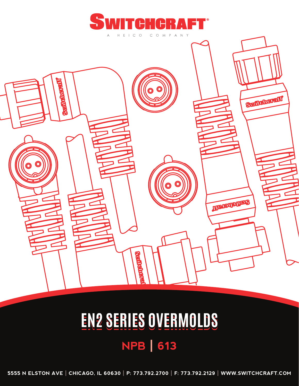



# **NPB | 613 EN2 SERIES OVERMOLDS**

**5555 N ELSTON AVE | CHICAGO, IL 60630 | P: 773.792.2700 | F: 773.792.2129 | WWW.SWITCHCRAFT.COM**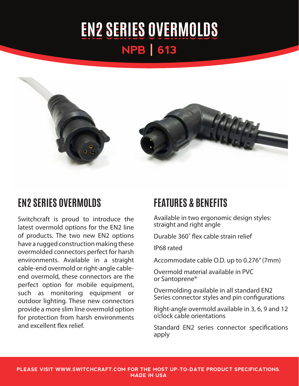## **NPB | 613 EN2 SERIES OVERMOLDS**



#### **EN2 SERIES OVERMOLDS**

Switchcraft is proud to introduce the latest overmold options for the EN2 line of products. The two new EN2 options have a rugged construction making these overmolded connectors perfect for harsh environments. Available in a straight cable-end overmold or right-angle cableend overmold, these connectors are the perfect option for mobile equipment, such as monitoring equipment or outdoor lighting. These new connectors provide a more slim line overmold option for protection from harsh environments and excellent flex relief.

#### **FEATURES & BENEFITS**

Available in two ergonomic design styles: straight and right angle

Durable 360˚ flex cable strain relief

IP68 rated

Accommodate cable O.D. up to 0.276" (7mm)

Overmold material available in PVC or Santoprene®

Overmolding available in all standard EN2 Series connector styles and pin configurations

Right-angle overmold available in 3, 6, 9 and 12 o'clock cable orientations

Standard EN2 series connector specifications apply